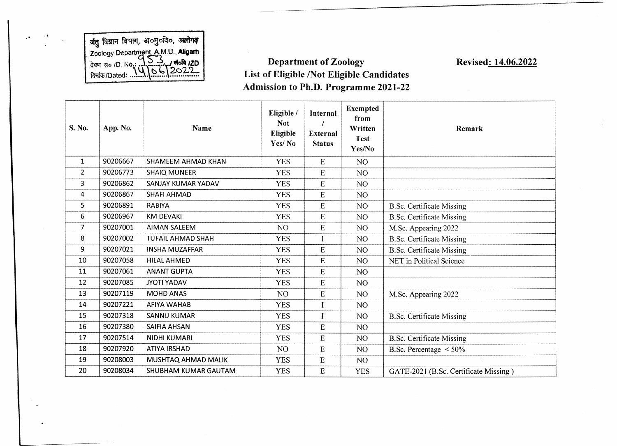**जैतु विज्ञान विभाग, अ**oमुoldo, **Zoology Departmen^AMU-.AIigafi**

## *t m* **B°** *1 0 .* **no.: Department of Zoology List of Eligible /Not Eligible Candidates Admission to Ph.D. Programme 2021-22**

**Revised: 14.06.2022**

| S. No.       | App. No. | <b>Name</b>              | Eligible /<br><b>Not</b><br>Eligible<br>Yes/No | Internal<br><b>External</b><br><b>Status</b> | <b>Exempted</b><br>from<br>Written<br><b>Test</b><br>Yes/No | <b>Remark</b>                         |
|--------------|----------|--------------------------|------------------------------------------------|----------------------------------------------|-------------------------------------------------------------|---------------------------------------|
| $\mathbf{1}$ | 90206667 | SHAMEEM AHMAD KHAN       | <b>YES</b>                                     | E                                            | N <sub>O</sub>                                              |                                       |
| 2            | 90206773 | <b>SHAIQ MUNEER</b>      | <b>YES</b>                                     | E                                            | NO <sub>1</sub>                                             |                                       |
| 3            | 90206862 | SANJAY KUMAR YADAV       | <b>YES</b>                                     | E                                            | NO <sub>1</sub>                                             |                                       |
| 4            | 90206867 | SHAFI AHMAD              | <b>YES</b>                                     | ${\bf E}$                                    | NO <sub>1</sub>                                             |                                       |
| 5            | 90206891 | <b>RABIYA</b>            | <b>YES</b>                                     | E                                            | N <sub>O</sub>                                              | <b>B.Sc. Certificate Missing</b>      |
| 6            | 90206967 | <b>KM DEVAKI</b>         | <b>YES</b>                                     | E                                            | NO <sub>1</sub>                                             | <b>B.Sc. Certificate Missing</b>      |
| 7            | 90207001 | <b>AIMAN SALEEM</b>      | N <sub>O</sub>                                 | E                                            | NO <sub>1</sub>                                             | M.Sc. Appearing 2022                  |
| 8            | 90207002 | <b>TUFAIL AHMAD SHAH</b> | <b>YES</b>                                     |                                              | NO                                                          | <b>B.Sc. Certificate Missing</b>      |
| 9            | 90207021 | <b>INSHA MUZAFFAR</b>    | <b>YES</b>                                     | E                                            | NO <sub>1</sub>                                             | <b>B.Sc. Certificate Missing</b>      |
| 10           | 90207058 | <b>HILAL AHMED</b>       | <b>YES</b>                                     | E                                            | N <sub>O</sub>                                              | NET in Political Science              |
| 11           | 90207061 | <b>ANANT GUPTA</b>       | <b>YES</b>                                     | $\mathbf E$                                  | N <sub>O</sub>                                              |                                       |
| 12           | 90207085 | <b>JYOTI YADAV</b>       | <b>YES</b>                                     | E                                            | N <sub>O</sub>                                              |                                       |
| 13           | 90207119 | <b>MOHD ANAS</b>         | NO <sub>1</sub>                                | E                                            | NO <sub>1</sub>                                             | M.Sc. Appearing 2022                  |
| 14           | 90207221 | AFIYA WAHAB              | <b>YES</b>                                     |                                              | NO <sub>1</sub>                                             |                                       |
| 15           | 90207318 | <b>SANNU KUMAR</b>       | <b>YES</b>                                     |                                              | N <sub>O</sub>                                              | <b>B.Sc. Certificate Missing</b>      |
| 16           | 90207380 | <b>SAIFIA AHSAN</b>      | <b>YES</b>                                     | E                                            | N <sub>O</sub>                                              |                                       |
| 17           | 90207514 | <b>NIDHI KUMARI</b>      | <b>YES</b>                                     | E                                            | NO <sub>1</sub>                                             | <b>B.Sc. Certificate Missing</b>      |
| 18           | 90207920 | ATIYA IRSHAD             | N <sub>O</sub>                                 | E                                            | N <sub>O</sub>                                              | B.Sc. Percentage $\leq 50\%$          |
| 19           | 90208003 | MUSHTAQ AHMAD MALIK      | <b>YES</b>                                     | ${\bf E}$                                    | N <sub>O</sub>                                              |                                       |
| 20           | 90208034 | SHUBHAM KUMAR GAUTAM     | <b>YES</b>                                     | E                                            | <b>YES</b>                                                  | GATE-2021 (B.Sc. Certificate Missing) |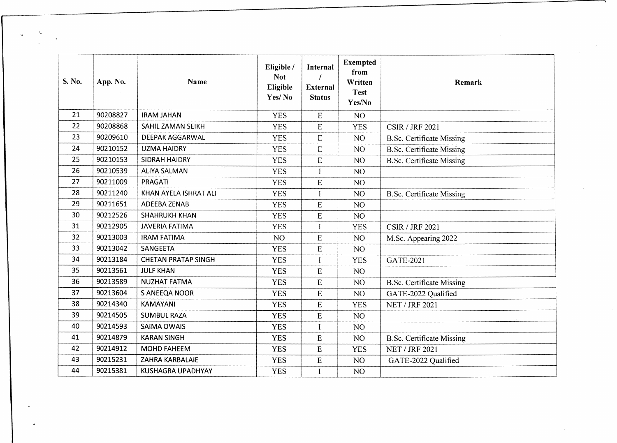| S. No. | App. No. | Name                       | Eligible /<br><b>Not</b><br>Eligible<br>Yes/No | Internal<br><b>External</b><br><b>Status</b> | <b>Exempted</b><br>from<br>Written<br><b>Test</b><br>Yes/No | Remark                           |
|--------|----------|----------------------------|------------------------------------------------|----------------------------------------------|-------------------------------------------------------------|----------------------------------|
| 21     | 90208827 | <b>IRAM JAHAN</b>          | <b>YES</b>                                     | ${\bf E}$                                    | NO <sub>1</sub>                                             |                                  |
| 22     | 90208868 | SAHIL ZAMAN SEIKH          | <b>YES</b>                                     | E                                            | <b>YES</b>                                                  | <b>CSIR / JRF 2021</b>           |
| 23     | 90209610 | <b>DEEPAK AGGARWAL</b>     | <b>YES</b>                                     | E                                            | NO <sub>1</sub>                                             | <b>B.Sc. Certificate Missing</b> |
| 24     | 90210152 | <b>UZMA HAIDRY</b>         | <b>YES</b>                                     | E                                            | NO <sub>1</sub>                                             | <b>B.Sc. Certificate Missing</b> |
| 25     | 90210153 | <b>SIDRAH HAIDRY</b>       | <b>YES</b>                                     | E                                            | NO <sub>1</sub>                                             | <b>B.Sc. Certificate Missing</b> |
| 26     | 90210539 | <b>ALIYA SALMAN</b>        | <b>YES</b>                                     | I                                            | NO                                                          |                                  |
| 27     | 90211009 | PRAGATI                    | <b>YES</b>                                     | ${\bf E}$                                    | NO <sub>1</sub>                                             |                                  |
| 28     | 90211240 | KHAN AYELA ISHRAT ALI      | <b>YES</b>                                     | I                                            | NO                                                          | <b>B.Sc. Certificate Missing</b> |
| 29     | 90211651 | ADEEBA ZENAB               | <b>YES</b>                                     | ${\bf E}$                                    | NO                                                          |                                  |
| 30     | 90212526 | <b>SHAHRUKH KHAN</b>       | <b>YES</b>                                     | $\mathbf E$                                  | NO.                                                         |                                  |
| 31     | 90212905 | <b>JAVERIA FATIMA</b>      | <b>YES</b>                                     | I                                            | <b>YES</b>                                                  | <b>CSIR / JRF 2021</b>           |
| 32     | 90213003 | <b>IRAM FATIMA</b>         | NO                                             | ${\bf E}$                                    | NO <sub>1</sub>                                             | M.Sc. Appearing 2022             |
| 33     | 90213042 | SANGEETA                   | <b>YES</b>                                     | $\mathbf E$                                  | NO <sub>1</sub>                                             |                                  |
| 34     | 90213184 | <b>CHETAN PRATAP SINGH</b> | <b>YES</b>                                     | $\mathbf I$                                  | <b>YES</b>                                                  | GATE-2021                        |
| 35     | 90213561 | <b>JULF KHAN</b>           | <b>YES</b>                                     | ${\bf E}$                                    | NO <sub>1</sub>                                             |                                  |
| 36     | 90213589 | <b>NUZHAT FATMA</b>        | <b>YES</b>                                     | ${\bf E}$                                    | NO <sub>1</sub>                                             | <b>B.Sc. Certificate Missing</b> |
| 37     | 90213604 | S ANEEQA NOOR              | <b>YES</b>                                     | E                                            | NO <sub>1</sub>                                             | GATE-2022 Qualified              |
| 38     | 90214340 | <b>KAMAYANI</b>            | <b>YES</b>                                     | ${\bf E}$                                    | <b>YES</b>                                                  | <b>NET / JRF 2021</b>            |
| 39     | 90214505 | <b>SUMBUL RAZA</b>         | <b>YES</b>                                     | ${\bf E}$                                    | NO <sub>1</sub>                                             |                                  |
| 40     | 90214593 | <b>SAIMA OWAIS</b>         | <b>YES</b>                                     | I                                            | NO.                                                         |                                  |
| 41     | 90214879 | <b>KARAN SINGH</b>         | <b>YES</b>                                     | ${\bf E}$                                    | NO                                                          | <b>B.Sc. Certificate Missing</b> |
| 42     | 90214912 | <b>MOHD FAHEEM</b>         | <b>YES</b>                                     | ${\bf E}$                                    | <b>YES</b>                                                  | <b>NET / JRF 2021</b>            |
| 43     | 90215231 | ZAHRA KARBALAIE            | <b>YES</b>                                     | ${\bf E}$                                    | NO <sub>1</sub>                                             | GATE-2022 Qualified              |
| 44     | 90215381 | <b>KUSHAGRA UPADHYAY</b>   | <b>YES</b>                                     | $\bf{I}$                                     | NO                                                          |                                  |

 $\tau_\bullet$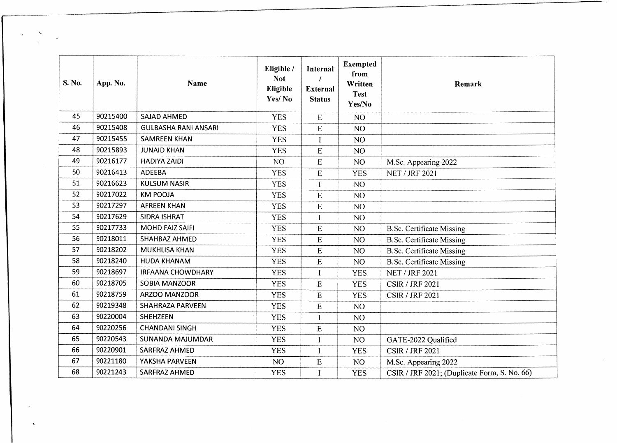| S. No. | App. No. | Name                        | Eligible /<br><b>Not</b><br>Eligible<br>Yes/No | Internal<br><b>External</b><br><b>Status</b> | <b>Exempted</b><br>from<br>Written<br><b>Test</b><br>Yes/No | Remark                                       |
|--------|----------|-----------------------------|------------------------------------------------|----------------------------------------------|-------------------------------------------------------------|----------------------------------------------|
| 45     | 90215400 | SAJAD AHMED                 | <b>YES</b>                                     | ${\bf E}$                                    | NO <sub>1</sub>                                             |                                              |
| 46     | 90215408 | <b>GULBASHA RANI ANSARI</b> | <b>YES</b>                                     | ${\bf E}$                                    | NO <sub>1</sub>                                             |                                              |
| 47     | 90215455 | <b>SAMREEN KHAN</b>         | <b>YES</b>                                     | $\overline{I}$                               | NO                                                          |                                              |
| 48     | 90215893 | <b>JUNAID KHAN</b>          | <b>YES</b>                                     | ${\bf E}$                                    | NO <sub>1</sub>                                             |                                              |
| 49     | 90216177 | <b>HADIYA ZAIDI</b>         | NO <sub>1</sub>                                | ${\bf E}$                                    | NO                                                          | M.Sc. Appearing 2022                         |
| 50     | 90216413 | <b>ADEEBA</b>               | <b>YES</b>                                     | ${\bf E}$                                    | <b>YES</b>                                                  | <b>NET / JRF 2021</b>                        |
| 51     | 90216623 | <b>KULSUM NASIR</b>         | <b>YES</b>                                     | $\bf I$                                      | NO                                                          |                                              |
| 52     | 90217022 | <b>KM POOJA</b>             | <b>YES</b>                                     | ${\bf E}$                                    | NO                                                          |                                              |
| 53     | 90217297 | <b>AFREEN KHAN</b>          | <b>YES</b>                                     | ${\bf E}$                                    | NO                                                          |                                              |
| 54     | 90217629 | SIDRA ISHRAT                | <b>YES</b>                                     | $\bf{I}$                                     | NO                                                          |                                              |
| 55     | 90217733 | MOHD FAIZ SAIFI             | <b>YES</b>                                     | ${\bf E}$                                    | NO                                                          | <b>B.Sc. Certificate Missing</b>             |
| 56     | 90218011 | SHAHBAZ AHMED               | <b>YES</b>                                     | ${\bf E}$                                    | NO                                                          | <b>B.Sc. Certificate Missing</b>             |
| 57     | 90218202 | <b>MUKHLISA KHAN</b>        | <b>YES</b>                                     | ${\bf E}$                                    | NO                                                          | <b>B.Sc. Certificate Missing</b>             |
| 58     | 90218240 | HUDA KHANAM                 | <b>YES</b>                                     | ${\bf E}$                                    | NO                                                          | <b>B.Sc. Certificate Missing</b>             |
| 59     | 90218697 | <b>IRFAANA CHOWDHARY</b>    | <b>YES</b>                                     |                                              | <b>YES</b>                                                  | <b>NET / JRF 2021</b>                        |
| 60     | 90218705 | <b>SOBIA MANZOOR</b>        | <b>YES</b>                                     | E                                            | <b>YES</b>                                                  | <b>CSIR / JRF 2021</b>                       |
| 61     | 90218759 | ARZOO MANZOOR               | <b>YES</b>                                     | E                                            | <b>YES</b>                                                  | <b>CSIR / JRF 2021</b>                       |
| 62     | 90219348 | <b>SHAHRAZA PARVEEN</b>     | <b>YES</b>                                     | ${\bf E}$                                    | NO                                                          |                                              |
| 63     | 90220004 | <b>SHEHZEEN</b>             | <b>YES</b>                                     | $\mathbf I$                                  | NO                                                          |                                              |
| 64     | 90220256 | <b>CHANDANI SINGH</b>       | <b>YES</b>                                     | ${\bf E}$                                    | NO                                                          |                                              |
| 65     | 90220543 | <b>SUNANDA MAJUMDAR</b>     | <b>YES</b>                                     | $\mathbf I$                                  | NO                                                          | GATE-2022 Qualified                          |
| 66     | 90220901 | SARFRAZ AHMED               | <b>YES</b>                                     | $\bf{I}$                                     | <b>YES</b>                                                  | <b>CSIR / JRF 2021</b>                       |
| 67     | 90221180 | YAKSHA PARVEEN              | NO <sub>1</sub>                                | ${\bf E}$                                    | NO                                                          | M.Sc. Appearing 2022                         |
| 68     | 90221243 | SARFRAZ AHMED               | <b>YES</b>                                     | $\mathbf I$                                  | <b>YES</b>                                                  | CSIR / JRF 2021; (Duplicate Form, S. No. 66) |

 $\label{eq:2} \frac{1}{\sqrt{2}}\sum_{i=1}^n\frac{1}{\sqrt{2}}\sum_{i=1}^n\frac{1}{\sqrt{2}}\sum_{i=1}^n\frac{1}{\sqrt{2}}\sum_{i=1}^n\frac{1}{\sqrt{2}}\sum_{i=1}^n\frac{1}{\sqrt{2}}\sum_{i=1}^n\frac{1}{\sqrt{2}}\sum_{i=1}^n\frac{1}{\sqrt{2}}\sum_{i=1}^n\frac{1}{\sqrt{2}}\sum_{i=1}^n\frac{1}{\sqrt{2}}\sum_{i=1}^n\frac{1}{\sqrt{2}}\sum_{i=1}^n\frac{1$ 

 $\tau_{\rm d}$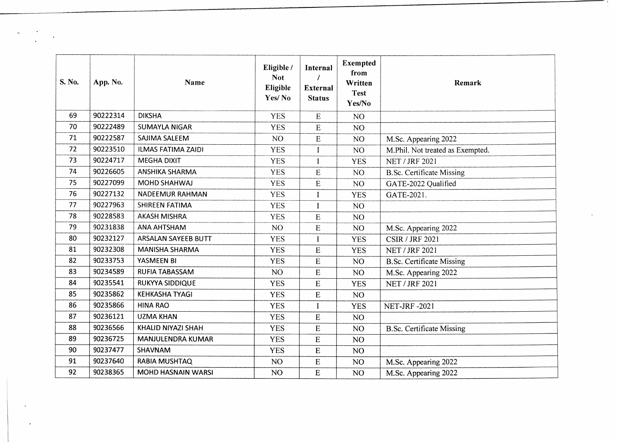| S. No. | App. No. | <b>Name</b>               | Eligible /<br><b>Not</b><br>Eligible<br>Yes/No | Internal<br><b>External</b><br><b>Status</b> | Exempted<br>from<br>Written<br><b>Test</b><br>Yes/No | Remark                           |
|--------|----------|---------------------------|------------------------------------------------|----------------------------------------------|------------------------------------------------------|----------------------------------|
| 69     | 90222314 | <b>DIKSHA</b>             | <b>YES</b>                                     | ${\bf E}$                                    | NO <sub>1</sub>                                      |                                  |
| 70     | 90222489 | <b>SUMAYLA NIGAR</b>      | <b>YES</b>                                     | ${\bf E}$                                    | NO <sub>1</sub>                                      |                                  |
| 71     | 90222587 | SAJIMA SALEEM             | NO <sub>1</sub>                                | ${\bf E}$                                    | NO <sub>1</sub>                                      | M.Sc. Appearing 2022             |
| 72     | 90223510 | <b>ILMAS FATIMA ZAIDI</b> | <b>YES</b>                                     | I                                            | NO <sub>1</sub>                                      | M.Phil. Not treated as Exempted. |
| 73     | 90224717 | <b>MEGHA DIXIT</b>        | <b>YES</b>                                     | I                                            | <b>YES</b>                                           | <b>NET / JRF 2021</b>            |
| 74     | 90226605 | ANSHIKA SHARMA            | <b>YES</b>                                     | ${\sf E}$                                    | NO <sub>1</sub>                                      | <b>B.Sc. Certificate Missing</b> |
| 75     | 90227099 | MOHD SHAHWAJ              | <b>YES</b>                                     | ${\bf E}$                                    | NO <sub>1</sub>                                      | GATE-2022 Qualified              |
| 76     | 90227132 | <b>NADEEMUR RAHMAN</b>    | <b>YES</b>                                     | I                                            | <b>YES</b>                                           | GATE-2021.                       |
| 77     | 90227963 | SHIREEN FATIMA            | <b>YES</b>                                     | $\bf{I}$                                     | NO                                                   |                                  |
| 78     | 90228583 | <b>AKASH MISHRA</b>       | <b>YES</b>                                     | E                                            | NO                                                   |                                  |
| 79     | 90231838 | ANA AHTSHAM               | NO                                             | ${\bf E}$                                    | NO <sub>1</sub>                                      | M.Sc. Appearing 2022             |
| 80     | 90232127 | ARSALAN SAYEEB BUTT       | <b>YES</b>                                     | Ī                                            | <b>YES</b>                                           | <b>CSIR / JRF 2021</b>           |
| 81     | 90232308 | <b>MANISHA SHARMA</b>     | <b>YES</b>                                     | ${\bf E}$                                    | <b>YES</b>                                           | <b>NET / JRF 2021</b>            |
| 82     | 90233753 | YASMEEN BI                | <b>YES</b>                                     | ${\bf E}$                                    | NO <sub>1</sub>                                      | <b>B.Sc. Certificate Missing</b> |
| 83     | 90234589 | RUFIA TABASSAM            | NO.                                            | ${\bf E}$                                    | NO                                                   | M.Sc. Appearing 2022             |
| 84     | 90235541 | <b>RUKYYA SIDDIQUE</b>    | <b>YES</b>                                     | E                                            | <b>YES</b>                                           | <b>NET / JRF 2021</b>            |
| 85     | 90235862 | <b>KEHKASHA TYAGI</b>     | <b>YES</b>                                     | E                                            | NO <sub>1</sub>                                      |                                  |
| 86     | 90235866 | <b>HINA RAO</b>           | <b>YES</b>                                     | $\mathbf{I}$                                 | <b>YES</b>                                           | <b>NET-JRF-2021</b>              |
| 87     | 90236121 | <b>UZMA KHAN</b>          | <b>YES</b>                                     | E                                            | NO <sub>1</sub>                                      |                                  |
| 88     | 90236566 | KHALID NIYAZI SHAH        | <b>YES</b>                                     | ${\bf E}$                                    | NO <sub>1</sub>                                      | <b>B.Sc. Certificate Missing</b> |
| 89     | 90236725 | MANJULENDRA KUMAR         | <b>YES</b>                                     | E                                            | NO                                                   |                                  |
| 90     | 90237477 | SHAVNAM                   | <b>YES</b>                                     | ${\bf E}$                                    | NO                                                   |                                  |
| 91     | 90237640 | <b>RABIA MUSHTAQ</b>      | NO <sub>1</sub>                                | E                                            | NO                                                   | M.Sc. Appearing 2022             |
| 92     | 90238365 | <b>MOHD HASNAIN WARSI</b> | NO                                             | E                                            | NO                                                   | M.Sc. Appearing 2022             |

 $\label{eq:2} \frac{\partial \mathbf{w}}{\partial \mathbf{w}} = \frac{\partial \mathbf{w}}{\partial \mathbf{w}}$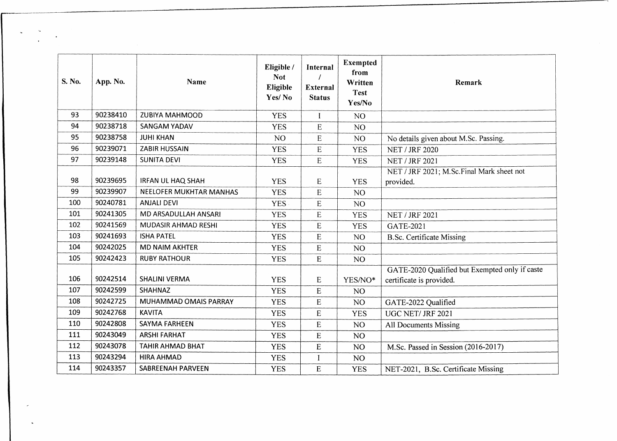| S. No. | App. No. | Name                     | Eligible /<br><b>Not</b><br>Eligible<br>Yes/No | Internal<br><b>External</b><br><b>Status</b> | <b>Exempted</b><br>from<br>Written<br><b>Test</b><br>Yes/No | Remark                                                                     |
|--------|----------|--------------------------|------------------------------------------------|----------------------------------------------|-------------------------------------------------------------|----------------------------------------------------------------------------|
| 93     | 90238410 | <b>ZUBIYA MAHMOOD</b>    | <b>YES</b>                                     | $\bf{I}$                                     | NO                                                          |                                                                            |
| 94     | 90238718 | <b>SANGAM YADAV</b>      | <b>YES</b>                                     | E                                            | NO <sub></sub>                                              |                                                                            |
| 95     | 90238758 | <b>JUHI KHAN</b>         | NO <sub>1</sub>                                | $\mathbf E$                                  | NO                                                          | No details given about M.Sc. Passing.                                      |
| 96     | 90239071 | ZABIR HUSSAIN            | <b>YES</b>                                     | E                                            | <b>YES</b>                                                  | <b>NET / JRF 2020</b>                                                      |
| 97     | 90239148 | <b>SUNITA DEVI</b>       | <b>YES</b>                                     | E                                            | <b>YES</b>                                                  | <b>NET / JRF 2021</b>                                                      |
|        |          |                          |                                                |                                              |                                                             | NET / JRF 2021; M.Sc.Final Mark sheet not                                  |
| 98     | 90239695 | <b>IRFAN UL HAQ SHAH</b> | <b>YES</b>                                     | ${\bf E}$                                    | <b>YES</b>                                                  | provided.                                                                  |
| 99     | 90239907 | NEELOFER MUKHTAR MANHAS  | <b>YES</b>                                     | E                                            | NO <sub>1</sub>                                             |                                                                            |
| 100    | 90240781 | <b>ANJALI DEVI</b>       | <b>YES</b>                                     | E                                            | NO <sub>1</sub>                                             |                                                                            |
| 101    | 90241305 | MD ARSADULLAH ANSARI     | <b>YES</b>                                     | ${\bf E}$                                    | <b>YES</b>                                                  | <b>NET / JRF 2021</b>                                                      |
| 102    | 90241569 | MUDASIR AHMAD RESHI      | <b>YES</b>                                     | E                                            | <b>YES</b>                                                  | <b>GATE-2021</b>                                                           |
| 103    | 90241693 | <b>ISHA PATEL</b>        | <b>YES</b>                                     | $\mathbf E$                                  | NO <sub>1</sub>                                             | <b>B.Sc. Certificate Missing</b>                                           |
| 104    | 90242025 | <b>MD NAIM AKHTER</b>    | <b>YES</b>                                     | $\boldsymbol{\mathrm{E}}$                    | NO                                                          |                                                                            |
| 105    | 90242423 | <b>RUBY RATHOUR</b>      | <b>YES</b>                                     | ${\bf E}$                                    | NO <sub>1</sub>                                             |                                                                            |
| 106    | 90242514 | <b>SHALINI VERMA</b>     | <b>YES</b>                                     | $\mathbf E$                                  | YES/NO*                                                     | GATE-2020 Qualified but Exempted only if caste<br>certificate is provided. |
| 107    | 90242599 | <b>SHAHNAZ</b>           | <b>YES</b>                                     | E                                            | NO                                                          |                                                                            |
| 108    | 90242725 | MUHAMMAD OMAIS PARRAY    | <b>YES</b>                                     | E                                            | NO <sub>1</sub>                                             | GATE-2022 Qualified                                                        |
| 109    | 90242768 | <b>KAVITA</b>            | <b>YES</b>                                     | E                                            | <b>YES</b>                                                  | UGC NET/ JRF 2021                                                          |
| 110    | 90242808 | <b>SAYMA FARHEEN</b>     | <b>YES</b>                                     | E                                            | NO <sub>1</sub>                                             | All Documents Missing                                                      |
| 111    | 90243049 | <b>ARSHI FARHAT</b>      | <b>YES</b>                                     | ${\bf E}$                                    | NO                                                          |                                                                            |
| 112    | 90243078 | TAHIR AHMAD BHAT         | <b>YES</b>                                     | ${\bf E}$                                    | NO                                                          | M.Sc. Passed in Session (2016-2017)                                        |
| 113    | 90243294 | <b>HIRA AHMAD</b>        | <b>YES</b>                                     | I                                            | NO <sub>1</sub>                                             |                                                                            |
| 114    | 90243357 | SABREENAH PARVEEN        | <b>YES</b>                                     | E                                            | <b>YES</b>                                                  | NET-2021, B.Sc. Certificate Missing                                        |

 $\frac{\partial}{\partial t} \left( \frac{\partial}{\partial t} \right) = \frac{1}{2} \frac{\partial}{\partial t} \left( \frac{\partial}{\partial t} \right)$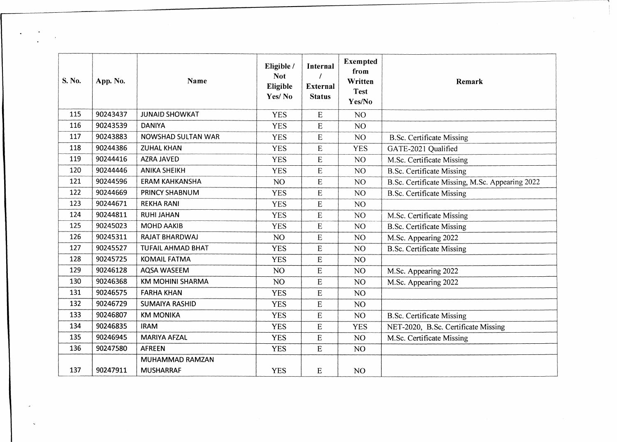| S. No. | App. No. | Name                     | Eligible /<br><b>Not</b><br>Eligible<br>Yes/No | Internal<br><b>External</b><br><b>Status</b> | <b>Exempted</b><br>from<br>Written<br><b>Test</b><br>Yes/No | Remark                                          |
|--------|----------|--------------------------|------------------------------------------------|----------------------------------------------|-------------------------------------------------------------|-------------------------------------------------|
| 115    | 90243437 | <b>JUNAID SHOWKAT</b>    | <b>YES</b>                                     | ${\bf E}$                                    | NO <sub>1</sub>                                             |                                                 |
| 116    | 90243539 | <b>DANIYA</b>            | <b>YES</b>                                     | E                                            | NO <sub>1</sub>                                             |                                                 |
| 117    | 90243883 | NOWSHAD SULTAN WAR       | <b>YES</b>                                     | E                                            | NO <sub>1</sub>                                             | <b>B.Sc. Certificate Missing</b>                |
| 118    | 90244386 | <b>ZUHAL KHAN</b>        | <b>YES</b>                                     | ${\bf E}$                                    | <b>YES</b>                                                  | GATE-2021 Qualified                             |
| 119    | 90244416 | AZRA JAVED               | <b>YES</b>                                     | E                                            | NO                                                          | M.Sc. Certificate Missing                       |
| 120    | 90244446 | <b>ANIKA SHEIKH</b>      | <b>YES</b>                                     | $\mathbf E$                                  | NO.                                                         | <b>B.Sc. Certificate Missing</b>                |
| 121    | 90244596 | <b>ERAM KAHKANSHA</b>    | NO <sub>1</sub>                                | ${\bf E}$                                    | NO                                                          | B.Sc. Certificate Missing, M.Sc. Appearing 2022 |
| 122    | 90244669 | PRINCY SHABNUM           | <b>YES</b>                                     | ${\bf E}$                                    | NO                                                          | <b>B.Sc. Certificate Missing</b>                |
| 123    | 90244671 | <b>REKHA RANI</b>        | <b>YES</b>                                     | E                                            | NO                                                          |                                                 |
| 124    | 90244811 | <b>RUHI JAHAN</b>        | <b>YES</b>                                     | E                                            | NO                                                          | M.Sc. Certificate Missing                       |
| 125    | 90245023 | <b>MOHD AAKIB</b>        | <b>YES</b>                                     | E                                            | NO                                                          | <b>B.Sc. Certificate Missing</b>                |
| 126    | 90245311 | <b>RAJAT BHARDWAJ</b>    | NO <sub>1</sub>                                | E                                            | NO <sub>1</sub>                                             | M.Sc. Appearing 2022                            |
| 127    | 90245527 | <b>TUFAIL AHMAD BHAT</b> | <b>YES</b>                                     | E                                            | NO <sub>1</sub>                                             | <b>B.Sc. Certificate Missing</b>                |
| 128    | 90245725 | <b>KOMAIL FATMA</b>      | <b>YES</b>                                     | E                                            | NO                                                          |                                                 |
| 129    | 90246128 | AQSA WASEEM              | NO                                             | $\mathbf E$                                  | NO                                                          | M.Sc. Appearing 2022                            |
| 130    | 90246368 | <b>KM MOHINI SHARMA</b>  | NO                                             | E                                            | NO                                                          | M.Sc. Appearing 2022                            |
| 131    | 90246575 | <b>FARHA KHAN</b>        | <b>YES</b>                                     | E                                            | NO                                                          |                                                 |
| 132    | 90246729 | <b>SUMAIYA RASHID</b>    | <b>YES</b>                                     | E                                            | NO                                                          |                                                 |
| 133    | 90246807 | <b>KM MONIKA</b>         | <b>YES</b>                                     | E                                            | NO <sub>1</sub>                                             | <b>B.Sc. Certificate Missing</b>                |
| 134    | 90246835 | <b>IRAM</b>              | <b>YES</b>                                     | E                                            | <b>YES</b>                                                  | NET-2020, B.Sc. Certificate Missing             |
| 135    | 90246945 | <b>MARIYA AFZAL</b>      | <b>YES</b>                                     | E                                            | NO <sub>1</sub>                                             | M.Sc. Certificate Missing                       |
| 136    | 90247580 | <b>AFREEN</b>            | <b>YES</b>                                     | E                                            | NO                                                          |                                                 |
|        |          | MUHAMMAD RAMZAN          |                                                |                                              |                                                             |                                                 |
| 137    | 90247911 | <b>MUSHARRAF</b>         | <b>YES</b>                                     | E                                            | NO.                                                         |                                                 |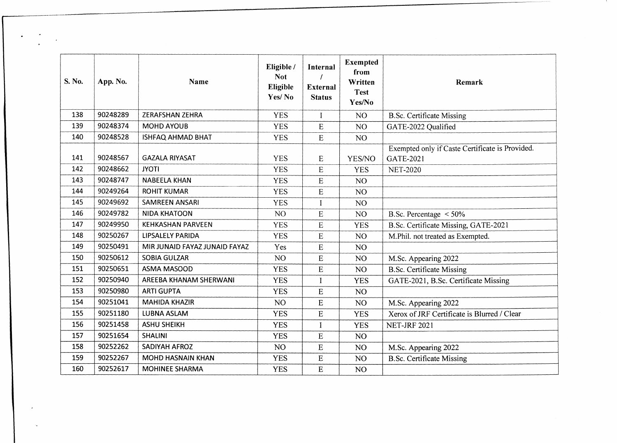| S. No. | App. No. | <b>Name</b>                   | Eligible /<br><b>Not</b><br>Eligible<br>Yes/No | Internal<br><b>External</b><br><b>Status</b> | <b>Exempted</b><br>from<br>Written<br><b>Test</b><br>Yes/No | Remark                                                       |
|--------|----------|-------------------------------|------------------------------------------------|----------------------------------------------|-------------------------------------------------------------|--------------------------------------------------------------|
| 138    | 90248289 | <b>ZERAFSHAN ZEHRA</b>        | <b>YES</b>                                     | I                                            | NO <sub>1</sub>                                             | <b>B.Sc. Certificate Missing</b>                             |
| 139    | 90248374 | <b>MOHD AYOUB</b>             | <b>YES</b>                                     | ${\bf E}$                                    | NO                                                          | GATE-2022 Qualified                                          |
| 140    | 90248528 | <b>ISHFAQ AHMAD BHAT</b>      | <b>YES</b>                                     | E                                            | NO <sub>1</sub>                                             |                                                              |
| 141    | 90248567 | <b>GAZALA RIYASAT</b>         | <b>YES</b>                                     | E                                            | YES/NO                                                      | Exempted only if Caste Certificate is Provided.<br>GATE-2021 |
| 142    | 90248662 | <b>JYOTI</b>                  | <b>YES</b>                                     | E                                            | <b>YES</b>                                                  | <b>NET-2020</b>                                              |
| 143    | 90248747 | <b>NABEELA KHAN</b>           | <b>YES</b>                                     | E                                            | NO                                                          |                                                              |
| 144    | 90249264 | <b>ROHIT KUMAR</b>            | <b>YES</b>                                     | E                                            | NO                                                          |                                                              |
| 145    | 90249692 | <b>SAMREEN ANSARI</b>         | <b>YES</b>                                     | $\mathbf{I}$                                 | NO <sub>1</sub>                                             |                                                              |
| 146    | 90249782 | <b>NIDA KHATOON</b>           | NO <sub>1</sub>                                | $\mathbf E$                                  | NO                                                          | B.Sc. Percentage $\leq 50\%$                                 |
| 147    | 90249950 | <b>KEHKASHAN PARVEEN</b>      | <b>YES</b>                                     | E                                            | <b>YES</b>                                                  | B.Sc. Certificate Missing, GATE-2021                         |
| 148    | 90250267 | <b>LIPSALELY PARIDA</b>       | <b>YES</b>                                     | ${\bf E}$                                    | NO                                                          | M.Phil. not treated as Exempted.                             |
| 149    | 90250491 | MIR JUNAID FAYAZ JUNAID FAYAZ | Yes                                            | E                                            | NO                                                          |                                                              |
| 150    | 90250612 | <b>SOBIA GULZAR</b>           | NO <sub>1</sub>                                | E                                            | NO.                                                         | M.Sc. Appearing 2022                                         |
| 151    | 90250651 | <b>ASMA MASOOD</b>            | <b>YES</b>                                     | E                                            | NO                                                          | <b>B.Sc. Certificate Missing</b>                             |
| 152    | 90250940 | AREEBA KHANAM SHERWANI        | <b>YES</b>                                     | $\mathbf{I}$                                 | <b>YES</b>                                                  | GATE-2021, B.Sc. Certificate Missing                         |
| 153    | 90250980 | <b>ARTI GUPTA</b>             | <b>YES</b>                                     | ${\bf E}$                                    | NO                                                          |                                                              |
| 154    | 90251041 | <b>MAHIDA KHAZIR</b>          | NO <sub>1</sub>                                | E                                            | NO                                                          | M.Sc. Appearing 2022                                         |
| 155    | 90251180 | <b>LUBNA ASLAM</b>            | <b>YES</b>                                     | $\mathbf E$                                  | <b>YES</b>                                                  | Xerox of JRF Certificate is Blurred / Clear                  |
| 156    | 90251458 | <b>ASHU SHEIKH</b>            | <b>YES</b>                                     | I                                            | <b>YES</b>                                                  | <b>NET-JRF 2021</b>                                          |
| 157    | 90251654 | <b>SHALINI</b>                | <b>YES</b>                                     | E                                            | NO <sub>1</sub>                                             |                                                              |
| 158    | 90252262 | <b>SADIYAH AFROZ</b>          | NO <sub>1</sub>                                | ${\bf E}$                                    | NO                                                          | M.Sc. Appearing 2022                                         |
| 159    | 90252267 | <b>MOHD HASNAIN KHAN</b>      | <b>YES</b>                                     | ${\bf E}$                                    | NO                                                          | <b>B.Sc. Certificate Missing</b>                             |
| 160    | 90252617 | <b>MOHINEE SHARMA</b>         | <b>YES</b>                                     | ${\bf E}$                                    | NO                                                          |                                                              |

 $\sum_{i=1}^{n} \frac{1}{i}$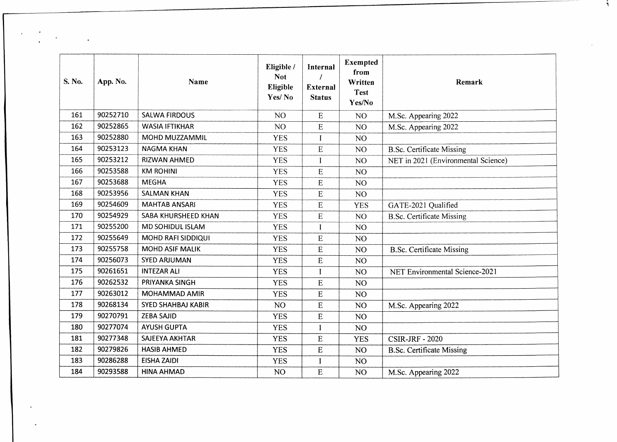| S. No. | App. No. | <b>Name</b>               | Eligible /<br><b>Not</b><br>Eligible<br>Yes/No | Internal<br><b>External</b><br><b>Status</b> | <b>Exempted</b><br>from<br>Written<br><b>Test</b><br>Yes/No | Remark                              |
|--------|----------|---------------------------|------------------------------------------------|----------------------------------------------|-------------------------------------------------------------|-------------------------------------|
| 161    | 90252710 | <b>SALWA FIRDOUS</b>      | NO <sub>1</sub>                                | ${\bf E}$                                    | N <sub>O</sub>                                              | M.Sc. Appearing 2022                |
| 162    | 90252865 | <b>WASIA IFTIKHAR</b>     | NO <sub>1</sub>                                | E                                            | NO <sub>1</sub>                                             | M.Sc. Appearing 2022                |
| 163    | 90252880 | MOHD MUZZAMMIL            | <b>YES</b>                                     |                                              | NO <sub>1</sub>                                             |                                     |
| 164    | 90253123 | <b>NAGMA KHAN</b>         | <b>YES</b>                                     | ${\bf E}$                                    | NO <sub>1</sub>                                             | <b>B.Sc. Certificate Missing</b>    |
| 165    | 90253212 | RIZWAN AHMED              | <b>YES</b>                                     | I                                            | NO <sub>1</sub>                                             | NET in 2021 (Environmental Science) |
| 166    | 90253588 | <b>KM ROHINI</b>          | <b>YES</b>                                     | ${\bf E}$                                    | NO <sub>1</sub>                                             |                                     |
| 167    | 90253688 | <b>MEGHA</b>              | <b>YES</b>                                     | E                                            | NO <sub>1</sub>                                             |                                     |
| 168    | 90253956 | <b>SALMAN KHAN</b>        | <b>YES</b>                                     | ${\bf E}$                                    | NO <sub>1</sub>                                             |                                     |
| 169    | 90254609 | <b>MAHTAB ANSARI</b>      | <b>YES</b>                                     | ${\bf E}$                                    | <b>YES</b>                                                  | GATE-2021 Qualified                 |
| 170    | 90254929 | SABA KHURSHEED KHAN       | <b>YES</b>                                     | ${\bf E}$                                    | NO <sub>1</sub>                                             | <b>B.Sc. Certificate Missing</b>    |
| 171    | 90255200 | MD SOHIDUL ISLAM          | <b>YES</b>                                     | I                                            | NO <sub>1</sub>                                             |                                     |
| 172    | 90255649 | MOHD RAFI SIDDIQUI        | <b>YES</b>                                     | E                                            | NO                                                          |                                     |
| 173    | 90255758 | <b>MOHD ASIF MALIK</b>    | <b>YES</b>                                     | ${\bf E}$                                    | NO                                                          | <b>B.Sc. Certificate Missing</b>    |
| 174    | 90256073 | <b>SYED ARJUMAN</b>       | <b>YES</b>                                     | ${\bf E}$                                    | NO                                                          |                                     |
| 175    | 90261651 | <b>INTEZAR ALI</b>        | <b>YES</b>                                     | L                                            | NO <sub>1</sub>                                             | NET Environmental Science-2021      |
| 176    | 90262532 | PRIYANKA SINGH            | <b>YES</b>                                     | E                                            | NO <sub>1</sub>                                             |                                     |
| 177    | 90263012 | MOHAMMAD AMIR             | <b>YES</b>                                     | ${\bf E}$                                    | NO                                                          |                                     |
| 178    | 90268134 | <b>SYED SHAHBAJ KABIR</b> | NO <sub>1</sub>                                | E                                            | NO                                                          | M.Sc. Appearing 2022                |
| 179    | 90270791 | <b>ZEBA SAJID</b>         | <b>YES</b>                                     | E                                            | NO                                                          |                                     |
| 180    | 90277074 | <b>AYUSH GUPTA</b>        | <b>YES</b>                                     | I                                            | NO                                                          |                                     |
| 181    | 90277348 | SAJEEYA AKHTAR            | <b>YES</b>                                     | E                                            | <b>YES</b>                                                  | <b>CSIR-JRF - 2020</b>              |
| 182    | 90279826 | <b>HASIB AHMED</b>        | <b>YES</b>                                     | E                                            | NO                                                          | <b>B.Sc. Certificate Missing</b>    |
| 183    | 90286288 | <b>EISHA ZAIDI</b>        | <b>YES</b>                                     | $\bf{I}$                                     | NO                                                          |                                     |
| 184    | 90293588 | <b>HINA AHMAD</b>         | NO <sub>1</sub>                                | E                                            | NO                                                          | M.Sc. Appearing 2022                |

 $\label{eq:2} \frac{1}{\sqrt{2}}\sum_{i=1}^n\frac{1}{\sqrt{2}}\left(\frac{1}{\sqrt{2}}\right)^2\left(\frac{1}{\sqrt{2}}\right)^2.$ 

 $\bar{c}$